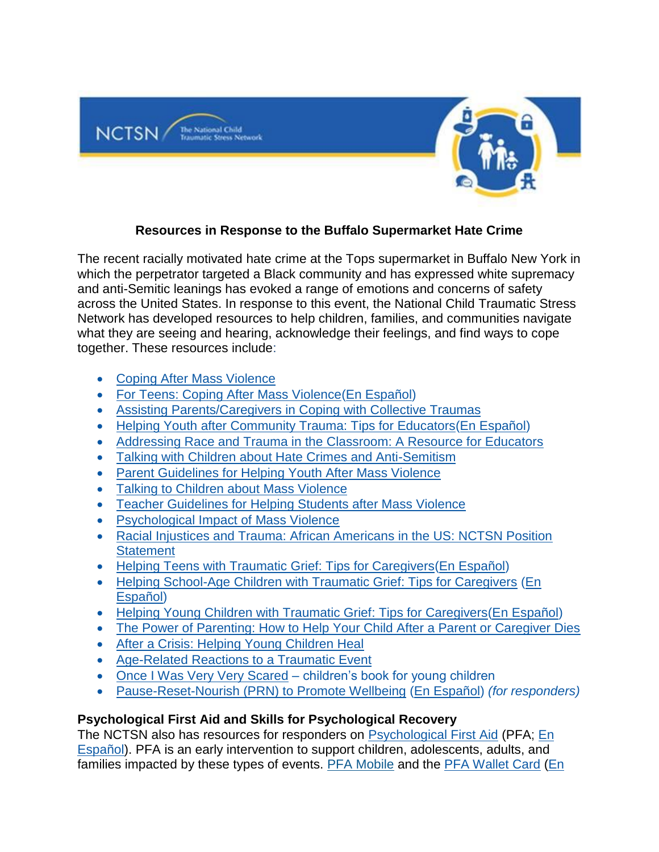

# **Resources in Response to the Buffalo Supermarket Hate Crime**

The recent racially motivated hate crime at the Tops supermarket in Buffalo New York in which the perpetrator targeted a Black community and has expressed white supremacy and anti-Semitic leanings has evoked a range of emotions and concerns of safety across the United States. In response to this event, the National Child Traumatic Stress Network has developed resources to help children, families, and communities navigate what they are seeing and hearing, acknowledge their feelings, and find ways to cope together. These resources include:

- [Coping After Mass Violence](https://urldefense.proofpoint.com/v2/url?u=https-3A__gcc02.safelinks.protection.outlook.com_-3Furl-3Dhttps-253A-252F-252Fwww.nctsn.org-252Fresources-252Fcoping-2Dafter-2Dmass-2Dviolence-26data-3D05-257C01-257CAngela.Keller-2540omh.ny.gov-257Ccbc2c2a530f548d7ab1f08da374c686f-257Cf46cb8ea79004d108ceb80e8c1c81ee7-257C0-257C0-257C637883098609053292-257CUnknown-257CTWFpbGZsb3d8eyJWIjoiMC4wLjAwMDAiLCJQIjoiV2luMzIiLCJBTiI6Ik1haWwiLCJXVCI6Mn0-253D-257C3000-257C-257C-257C-26sdata-3DbaPUKbCP4cLjLk4MYvs2e8rimyFoPHY6cMCScHCe2hc-253D-26reserved-3D0&d=DwMFAw&c=4sF48jRmVAe_CH-k9mXYXEGfSnM3bY53YSKuLUQRxhA&r=Jq-AvNoffBg0W9rGHsKyfovABBd8pcdNhTdIRwh-kLgyw8SgXNu6tTNaxCpF35S3&m=j6fApGi2VYRTuTJ5Vmptoc9pCoyF27f7x0mUKqhMeLc&s=Rtca_HFVdDTK0w9c-e4UhZmCLdm9k99Pb7s5POXJzL0&e=)
- [For Teens: Coping After Mass Violence](https://urldefense.proofpoint.com/v2/url?u=https-3A__gcc02.safelinks.protection.outlook.com_-3Furl-3Dhttps-253A-252F-252Fwww.nctsn.org-252Fsites-252Fdefault-252Ffiles-252Fresources-252Ffact-2Dsheet-252Ffor-5Fteens-5Fcoping-5Fafter-5Fmass-5Fviolence.pdf-26data-3D05-257C01-257CAngela.Keller-2540omh.ny.gov-257Ccbc2c2a530f548d7ab1f08da374c686f-257Cf46cb8ea79004d108ceb80e8c1c81ee7-257C0-257C0-257C637883098609053292-257CUnknown-257CTWFpbGZsb3d8eyJWIjoiMC4wLjAwMDAiLCJQIjoiV2luMzIiLCJBTiI6Ik1haWwiLCJXVCI6Mn0-253D-257C3000-257C-257C-257C-26sdata-3D-252BQPphHiD1b7ZvvDjxUHV60Q2TQdBlxetjRKRzxgS5L8-253D-26reserved-3D0&d=DwMFAw&c=4sF48jRmVAe_CH-k9mXYXEGfSnM3bY53YSKuLUQRxhA&r=Jq-AvNoffBg0W9rGHsKyfovABBd8pcdNhTdIRwh-kLgyw8SgXNu6tTNaxCpF35S3&m=j6fApGi2VYRTuTJ5Vmptoc9pCoyF27f7x0mUKqhMeLc&s=I0aK79SVRLqBwlW-pUaFjvZs0Rbt8ohs9GHNQtpB0lE&e=)[\(En Español\)](https://urldefense.proofpoint.com/v2/url?u=https-3A__gcc02.safelinks.protection.outlook.com_-3Furl-3Dhttps-253A-252F-252Fwww.nctsn.org-252Fresources-252Ffor-2Dteens-2Dcoping-2Dafter-2Dmass-2Dviolence-2Dsp-26data-3D05-257C01-257CAngela.Keller-2540omh.ny.gov-257Ccbc2c2a530f548d7ab1f08da374c686f-257Cf46cb8ea79004d108ceb80e8c1c81ee7-257C0-257C0-257C637883098609053292-257CUnknown-257CTWFpbGZsb3d8eyJWIjoiMC4wLjAwMDAiLCJQIjoiV2luMzIiLCJBTiI6Ik1haWwiLCJXVCI6Mn0-253D-257C3000-257C-257C-257C-26sdata-3D5La89UMKQJcXFrHJpvu-252FBu5FUsXHSydDC8ob-252BEWawxA-253D-26reserved-3D0&d=DwMFAw&c=4sF48jRmVAe_CH-k9mXYXEGfSnM3bY53YSKuLUQRxhA&r=Jq-AvNoffBg0W9rGHsKyfovABBd8pcdNhTdIRwh-kLgyw8SgXNu6tTNaxCpF35S3&m=j6fApGi2VYRTuTJ5Vmptoc9pCoyF27f7x0mUKqhMeLc&s=KtWrdTjjY8L9eu4l3kFM4o7_oA67FSC0BqI8hwrXigo&e=)
- [Assisting Parents/Caregivers in Coping with Collective Traumas](https://urldefense.proofpoint.com/v2/url?u=https-3A__gcc02.safelinks.protection.outlook.com_-3Furl-3Dhttps-253A-252F-252Fwww.nctsn.org-252Fresources-252Fassisting-2Dparents-2Dcaregivers-2Din-2Dcoping-2Dwith-2Dcollective-2Dtraumas-26data-3D05-257C01-257CAngela.Keller-2540omh.ny.gov-257Ccbc2c2a530f548d7ab1f08da374c686f-257Cf46cb8ea79004d108ceb80e8c1c81ee7-257C0-257C0-257C637883098609053292-257CUnknown-257CTWFpbGZsb3d8eyJWIjoiMC4wLjAwMDAiLCJQIjoiV2luMzIiLCJBTiI6Ik1haWwiLCJXVCI6Mn0-253D-257C3000-257C-257C-257C-26sdata-3Dtz-252BXimDJmPgXvD9thYm0qx3UVuQWSjtIxrpMofg6mpw-253D-26reserved-3D0&d=DwMFAw&c=4sF48jRmVAe_CH-k9mXYXEGfSnM3bY53YSKuLUQRxhA&r=Jq-AvNoffBg0W9rGHsKyfovABBd8pcdNhTdIRwh-kLgyw8SgXNu6tTNaxCpF35S3&m=j6fApGi2VYRTuTJ5Vmptoc9pCoyF27f7x0mUKqhMeLc&s=cxZyGtrJCdyVDAHo7H_Ok6vi6k9G5CDR6w00YWK8_2k&e=)
- [Helping Youth after Community Trauma: Tips for Educators](https://urldefense.proofpoint.com/v2/url?u=https-3A__gcc02.safelinks.protection.outlook.com_-3Furl-3Dhttps-253A-252F-252Fwww.nctsn.org-252Fresources-252Fhelping-2Dyouth-2Dafter-2Dcommunity-2Dtrauma-2Dtips-2Deducators-26data-3D05-257C01-257CAngela.Keller-2540omh.ny.gov-257Ccbc2c2a530f548d7ab1f08da374c686f-257Cf46cb8ea79004d108ceb80e8c1c81ee7-257C0-257C0-257C637883098609053292-257CUnknown-257CTWFpbGZsb3d8eyJWIjoiMC4wLjAwMDAiLCJQIjoiV2luMzIiLCJBTiI6Ik1haWwiLCJXVCI6Mn0-253D-257C3000-257C-257C-257C-26sdata-3DJ4wTLSOtk-252B0bh1rNJ0jen2jTgqjqS-252BhhVQNHWBRWD5Q-253D-26reserved-3D0&d=DwMFAw&c=4sF48jRmVAe_CH-k9mXYXEGfSnM3bY53YSKuLUQRxhA&r=Jq-AvNoffBg0W9rGHsKyfovABBd8pcdNhTdIRwh-kLgyw8SgXNu6tTNaxCpF35S3&m=j6fApGi2VYRTuTJ5Vmptoc9pCoyF27f7x0mUKqhMeLc&s=uTKaA_cDNcGTseFkoME0yR9nmRumCKD8ScuwoP_a9Bc&e=)[\(En Español\)](https://urldefense.proofpoint.com/v2/url?u=https-3A__gcc02.safelinks.protection.outlook.com_-3Furl-3Dhttps-253A-252F-252Fwww.nctsn.org-252Fresources-252Fhelping-2Dyouth-2Dafter-2Dcommunity-2Dtrauma-2Dtips-2Deducators-2Dsp-26data-3D05-257C01-257CAngela.Keller-2540omh.ny.gov-257Ccbc2c2a530f548d7ab1f08da374c686f-257Cf46cb8ea79004d108ceb80e8c1c81ee7-257C0-257C0-257C637883098609053292-257CUnknown-257CTWFpbGZsb3d8eyJWIjoiMC4wLjAwMDAiLCJQIjoiV2luMzIiLCJBTiI6Ik1haWwiLCJXVCI6Mn0-253D-257C3000-257C-257C-257C-26sdata-3D8-252FEZYv2z6XQo4NkZg9iGvIfjOuCgjwscRcBWTZLPGdI-253D-26reserved-3D0&d=DwMFAw&c=4sF48jRmVAe_CH-k9mXYXEGfSnM3bY53YSKuLUQRxhA&r=Jq-AvNoffBg0W9rGHsKyfovABBd8pcdNhTdIRwh-kLgyw8SgXNu6tTNaxCpF35S3&m=j6fApGi2VYRTuTJ5Vmptoc9pCoyF27f7x0mUKqhMeLc&s=vZbTVNGKkjqGau8L5WDuSXyWetqFRSDBRxnKnyT3DxQ&e=)
- [Addressing Race and Trauma in the Classroom: A Resource for Educators](https://urldefense.proofpoint.com/v2/url?u=https-3A__gcc02.safelinks.protection.outlook.com_-3Furl-3Dhttps-253A-252F-252Fwww.nctsn.org-252Fresources-252Faddressing-2Drace-2Dand-2Dtrauma-2Dclassroom-2Dresource-2Deducators-26data-3D05-257C01-257CAngela.Keller-2540omh.ny.gov-257Ccbc2c2a530f548d7ab1f08da374c686f-257Cf46cb8ea79004d108ceb80e8c1c81ee7-257C0-257C0-257C637883098609053292-257CUnknown-257CTWFpbGZsb3d8eyJWIjoiMC4wLjAwMDAiLCJQIjoiV2luMzIiLCJBTiI6Ik1haWwiLCJXVCI6Mn0-253D-257C3000-257C-257C-257C-26sdata-3DsVWiYI2kZ-252FPHWJq73Ic022Gk7taC-252FxSShceGOQEDPNg-253D-26reserved-3D0&d=DwMFAw&c=4sF48jRmVAe_CH-k9mXYXEGfSnM3bY53YSKuLUQRxhA&r=Jq-AvNoffBg0W9rGHsKyfovABBd8pcdNhTdIRwh-kLgyw8SgXNu6tTNaxCpF35S3&m=j6fApGi2VYRTuTJ5Vmptoc9pCoyF27f7x0mUKqhMeLc&s=ZAk8zp7cCwWQaSENkX-nxvwGVzdDLbpzkWWSZOlPBl8&e=)
- [Talking with Children about Hate Crimes and Anti-Semitism](https://urldefense.proofpoint.com/v2/url?u=https-3A__gcc02.safelinks.protection.outlook.com_-3Furl-3Dhttps-253A-252F-252Fwww.nctsn.org-252Fresources-252Ftalking-2Dto-2Dchildren-2Dabout-2Dhate-2Dcrimes-2Dand-2Danti-2Dsemitism-26data-3D05-257C01-257CAngela.Keller-2540omh.ny.gov-257Ccbc2c2a530f548d7ab1f08da374c686f-257Cf46cb8ea79004d108ceb80e8c1c81ee7-257C0-257C0-257C637883098609053292-257CUnknown-257CTWFpbGZsb3d8eyJWIjoiMC4wLjAwMDAiLCJQIjoiV2luMzIiLCJBTiI6Ik1haWwiLCJXVCI6Mn0-253D-257C3000-257C-257C-257C-26sdata-3DYh4tqqjWsXlaE-252FR9Yr-252BTZGzRFp-252BqbNyqTw-252Ft3MP228M-253D-26reserved-3D0&d=DwMFAw&c=4sF48jRmVAe_CH-k9mXYXEGfSnM3bY53YSKuLUQRxhA&r=Jq-AvNoffBg0W9rGHsKyfovABBd8pcdNhTdIRwh-kLgyw8SgXNu6tTNaxCpF35S3&m=j6fApGi2VYRTuTJ5Vmptoc9pCoyF27f7x0mUKqhMeLc&s=9vFJPI5f3Fmn-gneRuqDqw8686do1eHBpGB7TJYmcjs&e=)
- [Parent Guidelines for Helping Youth After Mass Violence](https://urldefense.proofpoint.com/v2/url?u=https-3A__gcc02.safelinks.protection.outlook.com_-3Furl-3Dhttps-253A-252F-252Fwww.nctsn.org-252Fresources-252Fparent-2Dguidelines-2Dhelping-2Dyouth-2Dafter-2Dmass-2Dviolence-26data-3D05-257C01-257CAngela.Keller-2540omh.ny.gov-257Ccbc2c2a530f548d7ab1f08da374c686f-257Cf46cb8ea79004d108ceb80e8c1c81ee7-257C0-257C0-257C637883098609053292-257CUnknown-257CTWFpbGZsb3d8eyJWIjoiMC4wLjAwMDAiLCJQIjoiV2luMzIiLCJBTiI6Ik1haWwiLCJXVCI6Mn0-253D-257C3000-257C-257C-257C-26sdata-3DJ33Wm5v-252BtCKrhfGkVvlcWdS9iXyg7it6ZMV0NQPBezw-253D-26reserved-3D0&d=DwMFAw&c=4sF48jRmVAe_CH-k9mXYXEGfSnM3bY53YSKuLUQRxhA&r=Jq-AvNoffBg0W9rGHsKyfovABBd8pcdNhTdIRwh-kLgyw8SgXNu6tTNaxCpF35S3&m=j6fApGi2VYRTuTJ5Vmptoc9pCoyF27f7x0mUKqhMeLc&s=HzlZffpof3XCZT3e4UiM5Vdk4836M0K0wSVgral_pJo&e=)
- [Talking to Children about Mass Violence](https://urldefense.proofpoint.com/v2/url?u=https-3A__gcc02.safelinks.protection.outlook.com_-3Furl-3Dhttps-253A-252F-252Fwww.nctsn.org-252Fresources-252Ftalking-2Dchildren-2Dabout-2Dmass-2Dviolence-26data-3D05-257C01-257CAngela.Keller-2540omh.ny.gov-257Ccbc2c2a530f548d7ab1f08da374c686f-257Cf46cb8ea79004d108ceb80e8c1c81ee7-257C0-257C0-257C637883098609053292-257CUnknown-257CTWFpbGZsb3d8eyJWIjoiMC4wLjAwMDAiLCJQIjoiV2luMzIiLCJBTiI6Ik1haWwiLCJXVCI6Mn0-253D-257C3000-257C-257C-257C-26sdata-3DydT2c8cnx4nW3cO6IBSfyYNnPRjoyNpZ0CLomHfamCo-253D-26reserved-3D0&d=DwMFAw&c=4sF48jRmVAe_CH-k9mXYXEGfSnM3bY53YSKuLUQRxhA&r=Jq-AvNoffBg0W9rGHsKyfovABBd8pcdNhTdIRwh-kLgyw8SgXNu6tTNaxCpF35S3&m=j6fApGi2VYRTuTJ5Vmptoc9pCoyF27f7x0mUKqhMeLc&s=nLSZOSMEgDI7CFAP7hJbIX6xGjQifI0UdeII0nEuxnc&e=)
- [Teacher Guidelines for Helping Students after Mass Violence](https://urldefense.proofpoint.com/v2/url?u=https-3A__gcc02.safelinks.protection.outlook.com_-3Furl-3Dhttps-253A-252F-252Fwww.nctsn.org-252Fresources-252Fteacher-2Dguidelines-2Dhelping-2Dstudents-2Dafter-2Dmass-2Dviolence-26data-3D05-257C01-257CAngela.Keller-2540omh.ny.gov-257Ccbc2c2a530f548d7ab1f08da374c686f-257Cf46cb8ea79004d108ceb80e8c1c81ee7-257C0-257C0-257C637883098609053292-257CUnknown-257CTWFpbGZsb3d8eyJWIjoiMC4wLjAwMDAiLCJQIjoiV2luMzIiLCJBTiI6Ik1haWwiLCJXVCI6Mn0-253D-257C3000-257C-257C-257C-26sdata-3Dy8B5wlqAx2jfMQqtd9uHldX2tnyQHBxTIkD-252Fi8TuQ1w-253D-26reserved-3D0&d=DwMFAw&c=4sF48jRmVAe_CH-k9mXYXEGfSnM3bY53YSKuLUQRxhA&r=Jq-AvNoffBg0W9rGHsKyfovABBd8pcdNhTdIRwh-kLgyw8SgXNu6tTNaxCpF35S3&m=j6fApGi2VYRTuTJ5Vmptoc9pCoyF27f7x0mUKqhMeLc&s=YaVThmPgFVKdszJivakEk7e8IAlbI8jUpsINgtxxVJ0&e=)
- [Psychological Impact of Mass Violence](https://urldefense.proofpoint.com/v2/url?u=https-3A__gcc02.safelinks.protection.outlook.com_-3Furl-3Dhttps-253A-252F-252Fwww.nctsn.org-252Fresources-252Fpsychological-2Dimpact-2Dmass-2Dviolence-26data-3D05-257C01-257CAngela.Keller-2540omh.ny.gov-257Ccbc2c2a530f548d7ab1f08da374c686f-257Cf46cb8ea79004d108ceb80e8c1c81ee7-257C0-257C0-257C637883098609053292-257CUnknown-257CTWFpbGZsb3d8eyJWIjoiMC4wLjAwMDAiLCJQIjoiV2luMzIiLCJBTiI6Ik1haWwiLCJXVCI6Mn0-253D-257C3000-257C-257C-257C-26sdata-3DkywRUUXaUO6FIOrdfuGrAfFgmE2YZUaBVTYl7Opa7ho-253D-26reserved-3D0&d=DwMFAw&c=4sF48jRmVAe_CH-k9mXYXEGfSnM3bY53YSKuLUQRxhA&r=Jq-AvNoffBg0W9rGHsKyfovABBd8pcdNhTdIRwh-kLgyw8SgXNu6tTNaxCpF35S3&m=j6fApGi2VYRTuTJ5Vmptoc9pCoyF27f7x0mUKqhMeLc&s=9ps4S_YdnhLKvBilEvfh_CxWpPiSEgpJEen3b5Q0FxE&e=)
- [Racial Injustices and Trauma: African Americans in the US: NCTSN Position](https://urldefense.proofpoint.com/v2/url?u=https-3A__gcc02.safelinks.protection.outlook.com_-3Furl-3Dhttps-253A-252F-252Fwww.nctsn.org-252Fresources-252Fracial-2Dinjustice-2Dand-2Dtrauma-2Dafrican-2Damericans-2Dus-2Dnctsn-2Dposition-2Dstatement-26data-3D05-257C01-257CAngela.Keller-2540omh.ny.gov-257Ccbc2c2a530f548d7ab1f08da374c686f-257Cf46cb8ea79004d108ceb80e8c1c81ee7-257C0-257C0-257C637883098609053292-257CUnknown-257CTWFpbGZsb3d8eyJWIjoiMC4wLjAwMDAiLCJQIjoiV2luMzIiLCJBTiI6Ik1haWwiLCJXVCI6Mn0-253D-257C3000-257C-257C-257C-26sdata-3D8AjalBzsQF3Cl8Ie0dYIy2twdhenXRR7FmxSpIfPdd8-253D-26reserved-3D0&d=DwMFAw&c=4sF48jRmVAe_CH-k9mXYXEGfSnM3bY53YSKuLUQRxhA&r=Jq-AvNoffBg0W9rGHsKyfovABBd8pcdNhTdIRwh-kLgyw8SgXNu6tTNaxCpF35S3&m=j6fApGi2VYRTuTJ5Vmptoc9pCoyF27f7x0mUKqhMeLc&s=6gn2pNvRs8h1YVltVANMKrrhKkqtWoU6B6Yj-IhwjfE&e=)  **[Statement](https://urldefense.proofpoint.com/v2/url?u=https-3A__gcc02.safelinks.protection.outlook.com_-3Furl-3Dhttps-253A-252F-252Fwww.nctsn.org-252Fresources-252Fracial-2Dinjustice-2Dand-2Dtrauma-2Dafrican-2Damericans-2Dus-2Dnctsn-2Dposition-2Dstatement-26data-3D05-257C01-257CAngela.Keller-2540omh.ny.gov-257Ccbc2c2a530f548d7ab1f08da374c686f-257Cf46cb8ea79004d108ceb80e8c1c81ee7-257C0-257C0-257C637883098609053292-257CUnknown-257CTWFpbGZsb3d8eyJWIjoiMC4wLjAwMDAiLCJQIjoiV2luMzIiLCJBTiI6Ik1haWwiLCJXVCI6Mn0-253D-257C3000-257C-257C-257C-26sdata-3D8AjalBzsQF3Cl8Ie0dYIy2twdhenXRR7FmxSpIfPdd8-253D-26reserved-3D0&d=DwMFAw&c=4sF48jRmVAe_CH-k9mXYXEGfSnM3bY53YSKuLUQRxhA&r=Jq-AvNoffBg0W9rGHsKyfovABBd8pcdNhTdIRwh-kLgyw8SgXNu6tTNaxCpF35S3&m=j6fApGi2VYRTuTJ5Vmptoc9pCoyF27f7x0mUKqhMeLc&s=6gn2pNvRs8h1YVltVANMKrrhKkqtWoU6B6Yj-IhwjfE&e=)**
- [Helping Teens with Traumatic Grief: Tips for Caregivers](https://gcc02.safelinks.protection.outlook.com/?url=https%3A%2F%2Furldefense.proofpoint.com%2Fv2%2Furl%3Fu%3Dhttps-3A__www.nctsn.org_resources_helping-2Dteens-2Dtraumatic-2Dgrief-2Dtips-2Dcaregivers%26d%3DDwMF-g%26c%3DUXmaowRpu5bLSLEQRunJ2z-YIUZuUoa9Rw_x449Hd_Y%26r%3DhzomOGg2G27ZjuZegYWWfu4EgrpiGCT_JunBM07Lj7Q%26m%3DPBo3q666RV0D6LuBFBnhXOvT09TTW0IR5fip18WrYZk%26s%3DUB9pSkIrdPpdA5UXjXa99VYSE458B68_jdqM09vqn5g%26e%3D&data=05%7C01%7CAngela.Keller%40omh.ny.gov%7Ccbc2c2a530f548d7ab1f08da374c686f%7Cf46cb8ea79004d108ceb80e8c1c81ee7%7C0%7C0%7C637883098609053292%7CUnknown%7CTWFpbGZsb3d8eyJWIjoiMC4wLjAwMDAiLCJQIjoiV2luMzIiLCJBTiI6Ik1haWwiLCJXVCI6Mn0%3D%7C3000%7C%7C%7C&sdata=cpI4%2BclU5NdkPJg1ksSALf1AqS5%2Buwawv1NRdH2NEYU%3D&reserved=0) [\(En Español\)](https://urldefense.proofpoint.com/v2/url?u=https-3A__gcc02.safelinks.protection.outlook.com_-3Furl-3Dhttps-253A-252F-252Fwww.nctsn.org-252Fsites-252Fdefault-252Ffiles-252Fresources-252Ftip-2Dsheet-252Fhelping-2Dteens-2Dwith-2Dtraumatic-2Dgrief-2Dfor-2Dcaregivers-2Dsp.pdf-26data-3D05-257C01-257CAngela.Keller-2540omh.ny.gov-257Ccbc2c2a530f548d7ab1f08da374c686f-257Cf46cb8ea79004d108ceb80e8c1c81ee7-257C0-257C0-257C637883098609053292-257CUnknown-257CTWFpbGZsb3d8eyJWIjoiMC4wLjAwMDAiLCJQIjoiV2luMzIiLCJBTiI6Ik1haWwiLCJXVCI6Mn0-253D-257C3000-257C-257C-257C-26sdata-3DRRr3EvMOIQPQz4SacbCCESXCWf4tbWROSdmfO2wUeVU-253D-26reserved-3D0&d=DwMFAw&c=4sF48jRmVAe_CH-k9mXYXEGfSnM3bY53YSKuLUQRxhA&r=Jq-AvNoffBg0W9rGHsKyfovABBd8pcdNhTdIRwh-kLgyw8SgXNu6tTNaxCpF35S3&m=j6fApGi2VYRTuTJ5Vmptoc9pCoyF27f7x0mUKqhMeLc&s=Fs71Ru1TEfo6cxdnSVxoUyz0JEt5PrBylzZ5wW1NC0A&e=)
- [Helping School-Age Children with Traumatic Grief: Tips for Caregivers](https://gcc02.safelinks.protection.outlook.com/?url=https%3A%2F%2Furldefense.proofpoint.com%2Fv2%2Furl%3Fu%3Dhttps-3A__www.nctsn.org_resources_helping-2Dschool-2Dage-2Dchildren-2Dtraumatic-2Dgrief-2Dtips-2Dcaregivers%26d%3DDwMF-g%26c%3DUXmaowRpu5bLSLEQRunJ2z-YIUZuUoa9Rw_x449Hd_Y%26r%3DhzomOGg2G27ZjuZegYWWfu4EgrpiGCT_JunBM07Lj7Q%26m%3DPBo3q666RV0D6LuBFBnhXOvT09TTW0IR5fip18WrYZk%26s%3DZWzXei6w0w2OpuzcyeZOJ33CNYucR4qIxFhFhlnDYAQ%26e%3D&data=05%7C01%7CAngela.Keller%40omh.ny.gov%7Ccbc2c2a530f548d7ab1f08da374c686f%7Cf46cb8ea79004d108ceb80e8c1c81ee7%7C0%7C0%7C637883098609053292%7CUnknown%7CTWFpbGZsb3d8eyJWIjoiMC4wLjAwMDAiLCJQIjoiV2luMzIiLCJBTiI6Ik1haWwiLCJXVCI6Mn0%3D%7C3000%7C%7C%7C&sdata=ltmAB3wUM7PFmS7K5ZmdP%2Fis6JtAZjTvPSUw%2FMZrbek%3D&reserved=0) [\(En](https://urldefense.proofpoint.com/v2/url?u=https-3A__gcc02.safelinks.protection.outlook.com_-3Furl-3Dhttps-253A-252F-252Fwww.nctsn.org-252Fresources-252Fhelping-2Dschool-2Dage-2Dchildren-2Dtraumatic-2Dgrief-2Dtips-2Dcaregivers-2Dsp-26data-3D05-257C01-257CAngela.Keller-2540omh.ny.gov-257Ccbc2c2a530f548d7ab1f08da374c686f-257Cf46cb8ea79004d108ceb80e8c1c81ee7-257C0-257C0-257C637883098609053292-257CUnknown-257CTWFpbGZsb3d8eyJWIjoiMC4wLjAwMDAiLCJQIjoiV2luMzIiLCJBTiI6Ik1haWwiLCJXVCI6Mn0-253D-257C3000-257C-257C-257C-26sdata-3D5YfAgoJNXuijfinGbSN65cSth3Psblr5BHhSx817zD8-253D-26reserved-3D0&d=DwMFAw&c=4sF48jRmVAe_CH-k9mXYXEGfSnM3bY53YSKuLUQRxhA&r=Jq-AvNoffBg0W9rGHsKyfovABBd8pcdNhTdIRwh-kLgyw8SgXNu6tTNaxCpF35S3&m=j6fApGi2VYRTuTJ5Vmptoc9pCoyF27f7x0mUKqhMeLc&s=MM04YcaWMe7tnIZAoC_TSnRwzkNzpGAas7Jbd7xvNA8&e=)  [Español\)](https://urldefense.proofpoint.com/v2/url?u=https-3A__gcc02.safelinks.protection.outlook.com_-3Furl-3Dhttps-253A-252F-252Fwww.nctsn.org-252Fresources-252Fhelping-2Dschool-2Dage-2Dchildren-2Dtraumatic-2Dgrief-2Dtips-2Dcaregivers-2Dsp-26data-3D05-257C01-257CAngela.Keller-2540omh.ny.gov-257Ccbc2c2a530f548d7ab1f08da374c686f-257Cf46cb8ea79004d108ceb80e8c1c81ee7-257C0-257C0-257C637883098609053292-257CUnknown-257CTWFpbGZsb3d8eyJWIjoiMC4wLjAwMDAiLCJQIjoiV2luMzIiLCJBTiI6Ik1haWwiLCJXVCI6Mn0-253D-257C3000-257C-257C-257C-26sdata-3D5YfAgoJNXuijfinGbSN65cSth3Psblr5BHhSx817zD8-253D-26reserved-3D0&d=DwMFAw&c=4sF48jRmVAe_CH-k9mXYXEGfSnM3bY53YSKuLUQRxhA&r=Jq-AvNoffBg0W9rGHsKyfovABBd8pcdNhTdIRwh-kLgyw8SgXNu6tTNaxCpF35S3&m=j6fApGi2VYRTuTJ5Vmptoc9pCoyF27f7x0mUKqhMeLc&s=MM04YcaWMe7tnIZAoC_TSnRwzkNzpGAas7Jbd7xvNA8&e=)
- [Helping Young Children with Traumatic Grief: Tips for Caregivers](https://gcc02.safelinks.protection.outlook.com/?url=https%3A%2F%2Furldefense.proofpoint.com%2Fv2%2Furl%3Fu%3Dhttps-3A__www.nctsn.org_resources_helping-2Dyoung-2Dchildren-2Dtraumatic-2Dgrief-2Dtips-2Dcaregivers%26d%3DDwMF-g%26c%3DUXmaowRpu5bLSLEQRunJ2z-YIUZuUoa9Rw_x449Hd_Y%26r%3DhzomOGg2G27ZjuZegYWWfu4EgrpiGCT_JunBM07Lj7Q%26m%3DPBo3q666RV0D6LuBFBnhXOvT09TTW0IR5fip18WrYZk%26s%3DQ9x-ra0PpbsJCCBnAAQVt8sFwTY6KaNuou5mywYI9HA%26e%3D&data=05%7C01%7CAngela.Keller%40omh.ny.gov%7Ccbc2c2a530f548d7ab1f08da374c686f%7Cf46cb8ea79004d108ceb80e8c1c81ee7%7C0%7C0%7C637883098609053292%7CUnknown%7CTWFpbGZsb3d8eyJWIjoiMC4wLjAwMDAiLCJQIjoiV2luMzIiLCJBTiI6Ik1haWwiLCJXVCI6Mn0%3D%7C3000%7C%7C%7C&sdata=dCdjdx6FtwStjLAa6M66rwmkrxsZEozfJI66rh1JDa8%3D&reserved=0) [\(En Español\)](https://urldefense.proofpoint.com/v2/url?u=https-3A__gcc02.safelinks.protection.outlook.com_-3Furl-3Dhttps-253A-252F-252Fwww.nctsn.org-252Fresources-252Fhelping-2Dyoung-2Dchildren-2Dtraumatic-2Dgrief-2Dtips-2Dcaregivers-2Dsp-26data-3D05-257C01-257CAngela.Keller-2540omh.ny.gov-257Ccbc2c2a530f548d7ab1f08da374c686f-257Cf46cb8ea79004d108ceb80e8c1c81ee7-257C0-257C0-257C637883098609053292-257CUnknown-257CTWFpbGZsb3d8eyJWIjoiMC4wLjAwMDAiLCJQIjoiV2luMzIiLCJBTiI6Ik1haWwiLCJXVCI6Mn0-253D-257C3000-257C-257C-257C-26sdata-3DYQwHVUbHaPg-252BWmuA1qjuXNq-252F7Lphvqpakedb5ptHRfM-253D-26reserved-3D0&d=DwMFAw&c=4sF48jRmVAe_CH-k9mXYXEGfSnM3bY53YSKuLUQRxhA&r=Jq-AvNoffBg0W9rGHsKyfovABBd8pcdNhTdIRwh-kLgyw8SgXNu6tTNaxCpF35S3&m=j6fApGi2VYRTuTJ5Vmptoc9pCoyF27f7x0mUKqhMeLc&s=XofqC4jEttYj6_vqAZj4IaWVVe8SD4DeX6HmMJMa4n8&e=)
- [The Power of Parenting: How to Help Your Child After a Parent or Caregiver Dies](https://gcc02.safelinks.protection.outlook.com/?url=https%3A%2F%2Furldefense.proofpoint.com%2Fv2%2Furl%3Fu%3Dhttps-3A__www.nctsn.org_resources_power-2Dof-2Dparenting-2Dhow-2Dto-2Dhelp-2Dyour-2Dchild-2Dafter-2Da-2Dparent-2Dor-2Dcaregiver-2Ddies%26d%3DDwMF-g%26c%3DUXmaowRpu5bLSLEQRunJ2z-YIUZuUoa9Rw_x449Hd_Y%26r%3DhzomOGg2G27ZjuZegYWWfu4EgrpiGCT_JunBM07Lj7Q%26m%3DPBo3q666RV0D6LuBFBnhXOvT09TTW0IR5fip18WrYZk%26s%3DvrLUBVRLXcoxW7y-IE7MY3pDIFJBDpn6Ow4V7lkXotY%26e%3D&data=05%7C01%7CAngela.Keller%40omh.ny.gov%7Ccbc2c2a530f548d7ab1f08da374c686f%7Cf46cb8ea79004d108ceb80e8c1c81ee7%7C0%7C0%7C637883098609053292%7CUnknown%7CTWFpbGZsb3d8eyJWIjoiMC4wLjAwMDAiLCJQIjoiV2luMzIiLCJBTiI6Ik1haWwiLCJXVCI6Mn0%3D%7C3000%7C%7C%7C&sdata=L6p%2FktsY45LTwcDP1pDBcJB9psXFtHqkN0Ox3JEWdB4%3D&reserved=0)
- [After a Crisis: Helping Young Children Heal](https://urldefense.proofpoint.com/v2/url?u=https-3A__gcc02.safelinks.protection.outlook.com_-3Furl-3Dhttps-253A-252F-252Fwww.nctsn.org-252Fresources-252Fafter-2Dcrisis-2Dhelping-2Dyoung-2Dchildren-2Dheal-26data-3D05-257C01-257CAngela.Keller-2540omh.ny.gov-257Ccbc2c2a530f548d7ab1f08da374c686f-257Cf46cb8ea79004d108ceb80e8c1c81ee7-257C0-257C0-257C637883098609208736-257CUnknown-257CTWFpbGZsb3d8eyJWIjoiMC4wLjAwMDAiLCJQIjoiV2luMzIiLCJBTiI6Ik1haWwiLCJXVCI6Mn0-253D-257C3000-257C-257C-257C-26sdata-3DbSYKWb415ZAEUn3yetp3K62Gl9OcgcxkzKTf-252FiRX2GA-253D-26reserved-3D0&d=DwMFAw&c=4sF48jRmVAe_CH-k9mXYXEGfSnM3bY53YSKuLUQRxhA&r=Jq-AvNoffBg0W9rGHsKyfovABBd8pcdNhTdIRwh-kLgyw8SgXNu6tTNaxCpF35S3&m=j6fApGi2VYRTuTJ5Vmptoc9pCoyF27f7x0mUKqhMeLc&s=OrBgh05XmEfDx4GoxO8Bk2e4r56FSWu2fi1YWTfadhY&e=)
- [Age-Related Reactions to a Traumatic Event](https://urldefense.proofpoint.com/v2/url?u=https-3A__gcc02.safelinks.protection.outlook.com_-3Furl-3Dhttps-253A-252F-252Fwww.nctsn.org-252Fresources-252Fage-2Drelated-2Dreactions-2Dtraumatic-2Devent-26data-3D05-257C01-257CAngela.Keller-2540omh.ny.gov-257Ccbc2c2a530f548d7ab1f08da374c686f-257Cf46cb8ea79004d108ceb80e8c1c81ee7-257C0-257C0-257C637883098609208736-257CUnknown-257CTWFpbGZsb3d8eyJWIjoiMC4wLjAwMDAiLCJQIjoiV2luMzIiLCJBTiI6Ik1haWwiLCJXVCI6Mn0-253D-257C3000-257C-257C-257C-26sdata-3DMRm3E2rWPcshKti4SHCcvSVXjRtizHxy5SHIM94E0kg-253D-26reserved-3D0&d=DwMFAw&c=4sF48jRmVAe_CH-k9mXYXEGfSnM3bY53YSKuLUQRxhA&r=Jq-AvNoffBg0W9rGHsKyfovABBd8pcdNhTdIRwh-kLgyw8SgXNu6tTNaxCpF35S3&m=j6fApGi2VYRTuTJ5Vmptoc9pCoyF27f7x0mUKqhMeLc&s=kZ5hShexqiKZgd77_PrHencxpfdfHCe9q-c9abeZMcQ&e=)
- [Once I Was Very Very Scared](https://urldefense.proofpoint.com/v2/url?u=https-3A__gcc02.safelinks.protection.outlook.com_-3Furl-3Dhttps-253A-252F-252Fpiploproductions.com-252Fstories-252Fonce-252F-26data-3D05-257C01-257CAngela.Keller-2540omh.ny.gov-257Ccbc2c2a530f548d7ab1f08da374c686f-257Cf46cb8ea79004d108ceb80e8c1c81ee7-257C0-257C0-257C637883098609208736-257CUnknown-257CTWFpbGZsb3d8eyJWIjoiMC4wLjAwMDAiLCJQIjoiV2luMzIiLCJBTiI6Ik1haWwiLCJXVCI6Mn0-253D-257C3000-257C-257C-257C-26sdata-3DPxvXqFG2RnuB64qEGNbFImzR0oqtMnJ4SoJCvPExx9g-253D-26reserved-3D0&d=DwMFAw&c=4sF48jRmVAe_CH-k9mXYXEGfSnM3bY53YSKuLUQRxhA&r=Jq-AvNoffBg0W9rGHsKyfovABBd8pcdNhTdIRwh-kLgyw8SgXNu6tTNaxCpF35S3&m=j6fApGi2VYRTuTJ5Vmptoc9pCoyF27f7x0mUKqhMeLc&s=bSzG1t5_jHVwS2P03fGGIRhkigpSENg9_AShws_epx0&e=) children's book for young children
- [Pause-Reset-Nourish \(PRN\) to Promote Wellbeing](https://urldefense.proofpoint.com/v2/url?u=https-3A__gcc02.safelinks.protection.outlook.com_-3Furl-3Dhttps-253A-252F-252Fwww.nctsn.org-252Fresources-252Fpause-2Dreset-2Dnourish-2Dto-2Dpromote-2Dwellbeing-2Duse-2Das-2Dneeded-2Dto-2Dcare-2Dfor-2Dyour-2Dwellness-26data-3D05-257C01-257CAngela.Keller-2540omh.ny.gov-257Ccbc2c2a530f548d7ab1f08da374c686f-257Cf46cb8ea79004d108ceb80e8c1c81ee7-257C0-257C0-257C637883098609208736-257CUnknown-257CTWFpbGZsb3d8eyJWIjoiMC4wLjAwMDAiLCJQIjoiV2luMzIiLCJBTiI6Ik1haWwiLCJXVCI6Mn0-253D-257C3000-257C-257C-257C-26sdata-3D81kbmU-252FfCje2FJLOa1kS9HFHWAQEzMcmqfZqfGhrjqI-253D-26reserved-3D0&d=DwMFAw&c=4sF48jRmVAe_CH-k9mXYXEGfSnM3bY53YSKuLUQRxhA&r=Jq-AvNoffBg0W9rGHsKyfovABBd8pcdNhTdIRwh-kLgyw8SgXNu6tTNaxCpF35S3&m=j6fApGi2VYRTuTJ5Vmptoc9pCoyF27f7x0mUKqhMeLc&s=bnPm2TxU71Wk5kmxkMH2jm4-ZHHG_gsc_VqfsCWrL5U&e=) [\(En Español\)](https://urldefense.proofpoint.com/v2/url?u=https-3A__gcc02.safelinks.protection.outlook.com_-3Furl-3Dhttps-253A-252F-252Fwww.nctsn.org-252Fresources-252Fprn-2Dto-2Dpromote-2Dwellbeing-2Das-2Dneeded-2Dto-2Dcare-2Dfor-2Dyour-2Dwellness-2Dsp-26data-3D05-257C01-257CAngela.Keller-2540omh.ny.gov-257Ccbc2c2a530f548d7ab1f08da374c686f-257Cf46cb8ea79004d108ceb80e8c1c81ee7-257C0-257C0-257C637883098609208736-257CUnknown-257CTWFpbGZsb3d8eyJWIjoiMC4wLjAwMDAiLCJQIjoiV2luMzIiLCJBTiI6Ik1haWwiLCJXVCI6Mn0-253D-257C3000-257C-257C-257C-26sdata-3Dn4Q3bucsaz3Phgk4-252FjpLDenlGtQOwLUjxfAzGBKbsvc-253D-26reserved-3D0&d=DwMFAw&c=4sF48jRmVAe_CH-k9mXYXEGfSnM3bY53YSKuLUQRxhA&r=Jq-AvNoffBg0W9rGHsKyfovABBd8pcdNhTdIRwh-kLgyw8SgXNu6tTNaxCpF35S3&m=j6fApGi2VYRTuTJ5Vmptoc9pCoyF27f7x0mUKqhMeLc&s=Ns0qKPpjgDdYGUm34sUEhnHTisSev68-xUIwP4Na0h8&e=) *(for responders)*

## **Psychological First Aid and Skills for Psychological Recovery**

The NCTSN also has resources for responders on [Psychological First Aid](https://urldefense.proofpoint.com/v2/url?u=https-3A__gcc02.safelinks.protection.outlook.com_-3Furl-3Dhttps-253A-252F-252Furldefense.com-252Fv3-252F-5F-5Fhttps-253A-252Fwww.nctsn.org-252Fresources-252Fpsychological-2Dfirst-2Daid-2Dpfa-2Dfield-2Doperations-2Dguide-2D2nd-2Dedition-5F-5F-253B-21-21F9wkZZsI-2DLA-21SIUd2q2njiJ43vJbtUGCEzLFZoCI14Jsv1upSAIdkNbS-2DwUig4YMKjsW27WviG5a6caP-2524-26data-3D05-257C01-257CAngela.Keller-2540omh.ny.gov-257Ccbc2c2a530f548d7ab1f08da374c686f-257Cf46cb8ea79004d108ceb80e8c1c81ee7-257C0-257C0-257C637883098609208736-257CUnknown-257CTWFpbGZsb3d8eyJWIjoiMC4wLjAwMDAiLCJQIjoiV2luMzIiLCJBTiI6Ik1haWwiLCJXVCI6Mn0-253D-257C3000-257C-257C-257C-26sdata-3Dh0XQvXbQMH6BwH10JqF-252FrODM-252F3B2G3YtZ0yjSmuQ-252BTE-253D-26reserved-3D0&d=DwMFAw&c=4sF48jRmVAe_CH-k9mXYXEGfSnM3bY53YSKuLUQRxhA&r=Jq-AvNoffBg0W9rGHsKyfovABBd8pcdNhTdIRwh-kLgyw8SgXNu6tTNaxCpF35S3&m=j6fApGi2VYRTuTJ5Vmptoc9pCoyF27f7x0mUKqhMeLc&s=qfwxmZJchaTAIhvNnagoVGjdPgiLQzxGUHiKA_jbf3w&e=) (PFA; [En](https://urldefense.proofpoint.com/v2/url?u=https-3A__gcc02.safelinks.protection.outlook.com_-3Furl-3Dhttps-253A-252F-252Furldefense.com-252Fv3-252F-5F-5Fhttps-253A-252Fwww.nctsn.org-252Fresources-252Fprimeros-2Dauxilios-2Dpsicologicos-2Dguia-2Dde-2Doperaciones-2Dpracticas-2D2da-2Dedicion-5F-5F-253B-21-21F9wkZZsI-2DLA-21SIUd2q2njiJ43vJbtUGCEzLFZoCI14Jsv1upSAIdkNbS-2DwUig4YMKjsW27WviGtpkaxs-2524-26data-3D05-257C01-257CAngela.Keller-2540omh.ny.gov-257Ccbc2c2a530f548d7ab1f08da374c686f-257Cf46cb8ea79004d108ceb80e8c1c81ee7-257C0-257C0-257C637883098609208736-257CUnknown-257CTWFpbGZsb3d8eyJWIjoiMC4wLjAwMDAiLCJQIjoiV2luMzIiLCJBTiI6Ik1haWwiLCJXVCI6Mn0-253D-257C3000-257C-257C-257C-26sdata-3DNpmpgizTfo-252Fgbxm4tBPXs1D0hMrrkhzLAqdf5jD1Mhc-253D-26reserved-3D0&d=DwMFAw&c=4sF48jRmVAe_CH-k9mXYXEGfSnM3bY53YSKuLUQRxhA&r=Jq-AvNoffBg0W9rGHsKyfovABBd8pcdNhTdIRwh-kLgyw8SgXNu6tTNaxCpF35S3&m=j6fApGi2VYRTuTJ5Vmptoc9pCoyF27f7x0mUKqhMeLc&s=ihaAfNB47-ZoANryh_8uE7DDEoUR0eAG38C1q3HTknc&e=) [Español\)](https://urldefense.proofpoint.com/v2/url?u=https-3A__gcc02.safelinks.protection.outlook.com_-3Furl-3Dhttps-253A-252F-252Furldefense.com-252Fv3-252F-5F-5Fhttps-253A-252Fwww.nctsn.org-252Fresources-252Fprimeros-2Dauxilios-2Dpsicologicos-2Dguia-2Dde-2Doperaciones-2Dpracticas-2D2da-2Dedicion-5F-5F-253B-21-21F9wkZZsI-2DLA-21SIUd2q2njiJ43vJbtUGCEzLFZoCI14Jsv1upSAIdkNbS-2DwUig4YMKjsW27WviGtpkaxs-2524-26data-3D05-257C01-257CAngela.Keller-2540omh.ny.gov-257Ccbc2c2a530f548d7ab1f08da374c686f-257Cf46cb8ea79004d108ceb80e8c1c81ee7-257C0-257C0-257C637883098609208736-257CUnknown-257CTWFpbGZsb3d8eyJWIjoiMC4wLjAwMDAiLCJQIjoiV2luMzIiLCJBTiI6Ik1haWwiLCJXVCI6Mn0-253D-257C3000-257C-257C-257C-26sdata-3DNpmpgizTfo-252Fgbxm4tBPXs1D0hMrrkhzLAqdf5jD1Mhc-253D-26reserved-3D0&d=DwMFAw&c=4sF48jRmVAe_CH-k9mXYXEGfSnM3bY53YSKuLUQRxhA&r=Jq-AvNoffBg0W9rGHsKyfovABBd8pcdNhTdIRwh-kLgyw8SgXNu6tTNaxCpF35S3&m=j6fApGi2VYRTuTJ5Vmptoc9pCoyF27f7x0mUKqhMeLc&s=ihaAfNB47-ZoANryh_8uE7DDEoUR0eAG38C1q3HTknc&e=). PFA is an early intervention to support children, adolescents, adults, and families impacted by these types of events. [PFA Mobile](https://urldefense.proofpoint.com/v2/url?u=https-3A__gcc02.safelinks.protection.outlook.com_-3Furl-3Dhttps-253A-252F-252Fwww.nctsn.org-252Fresources-252Fpfa-2Dmobile-26data-3D05-257C01-257CAngela.Keller-2540omh.ny.gov-257Ccbc2c2a530f548d7ab1f08da374c686f-257Cf46cb8ea79004d108ceb80e8c1c81ee7-257C0-257C0-257C637883098609208736-257CUnknown-257CTWFpbGZsb3d8eyJWIjoiMC4wLjAwMDAiLCJQIjoiV2luMzIiLCJBTiI6Ik1haWwiLCJXVCI6Mn0-253D-257C3000-257C-257C-257C-26sdata-3Dqsn8cJtLSWxLC7OG-252FOc-252BWLdNh5KTfZr0l9GvBSGCh6U-253D-26reserved-3D0&d=DwMFAw&c=4sF48jRmVAe_CH-k9mXYXEGfSnM3bY53YSKuLUQRxhA&r=Jq-AvNoffBg0W9rGHsKyfovABBd8pcdNhTdIRwh-kLgyw8SgXNu6tTNaxCpF35S3&m=j6fApGi2VYRTuTJ5Vmptoc9pCoyF27f7x0mUKqhMeLc&s=tC_b5oVQW9Sw50TfL1pIMQlxftdcQESyfcys_3MqhlI&e=) and the [PFA Wallet Card](https://urldefense.proofpoint.com/v2/url?u=https-3A__gcc02.safelinks.protection.outlook.com_-3Furl-3Dhttps-253A-252F-252Furldefense.com-252Fv3-252F-5F-5Fhttps-253A-252Fwww.nctsn.org-252Fresources-252Fpsychological-2Dfirst-2Daid-2Dpfa-2Dwallet-2Dcard-5F-5F-253B-21-21F9wkZZsI-2DLA-21SIUd2q2njiJ43vJbtUGCEzLFZoCI14Jsv1upSAIdkNbS-2DwUig4YMKjsW27WviLYN40Vn-2524-26data-3D05-257C01-257CAngela.Keller-2540omh.ny.gov-257Ccbc2c2a530f548d7ab1f08da374c686f-257Cf46cb8ea79004d108ceb80e8c1c81ee7-257C0-257C0-257C637883098609208736-257CUnknown-257CTWFpbGZsb3d8eyJWIjoiMC4wLjAwMDAiLCJQIjoiV2luMzIiLCJBTiI6Ik1haWwiLCJXVCI6Mn0-253D-257C3000-257C-257C-257C-26sdata-3DARvare0dehyKEDiGHNz3So6AA1ekd0zEoqLeeE-252FjXBU-253D-26reserved-3D0&d=DwMFAw&c=4sF48jRmVAe_CH-k9mXYXEGfSnM3bY53YSKuLUQRxhA&r=Jq-AvNoffBg0W9rGHsKyfovABBd8pcdNhTdIRwh-kLgyw8SgXNu6tTNaxCpF35S3&m=j6fApGi2VYRTuTJ5Vmptoc9pCoyF27f7x0mUKqhMeLc&s=XbdpAww48JEDd1doUWgcsORK27A6JHTQLP6t3CgNA8U&e=) [\(En](https://urldefense.proofpoint.com/v2/url?u=https-3A__gcc02.safelinks.protection.outlook.com_-3Furl-3Dhttps-253A-252F-252Furldefense.com-252Fv3-252F-5F-5Fhttps-253A-252Fwww.nctsn.org-252Fresources-252Fpsychological-2Dfirst-2Daid-2Dpfa-2Dwallet-2Dcard-2Dsp-5F-5F-253B-21-21F9wkZZsI-2DLA-21SIUd2q2njiJ43vJbtUGCEzLFZoCI14Jsv1upSAIdkNbS-2DwUig4YMKjsW27WviHEcE2bq-2524-26data-3D05-257C01-257CAngela.Keller-2540omh.ny.gov-257Ccbc2c2a530f548d7ab1f08da374c686f-257Cf46cb8ea79004d108ceb80e8c1c81ee7-257C0-257C0-257C637883098609208736-257CUnknown-257CTWFpbGZsb3d8eyJWIjoiMC4wLjAwMDAiLCJQIjoiV2luMzIiLCJBTiI6Ik1haWwiLCJXVCI6Mn0-253D-257C3000-257C-257C-257C-26sdata-3DflO-252FzXQD43pPkGH6XV6DveMukyzG4pthkruCIgoXkzw-253D-26reserved-3D0&d=DwMFAw&c=4sF48jRmVAe_CH-k9mXYXEGfSnM3bY53YSKuLUQRxhA&r=Jq-AvNoffBg0W9rGHsKyfovABBd8pcdNhTdIRwh-kLgyw8SgXNu6tTNaxCpF35S3&m=j6fApGi2VYRTuTJ5Vmptoc9pCoyF27f7x0mUKqhMeLc&s=EyiQexY9uGZeDL89b7GIBNyO520FUFUhfDxfCKuaHzU&e=)